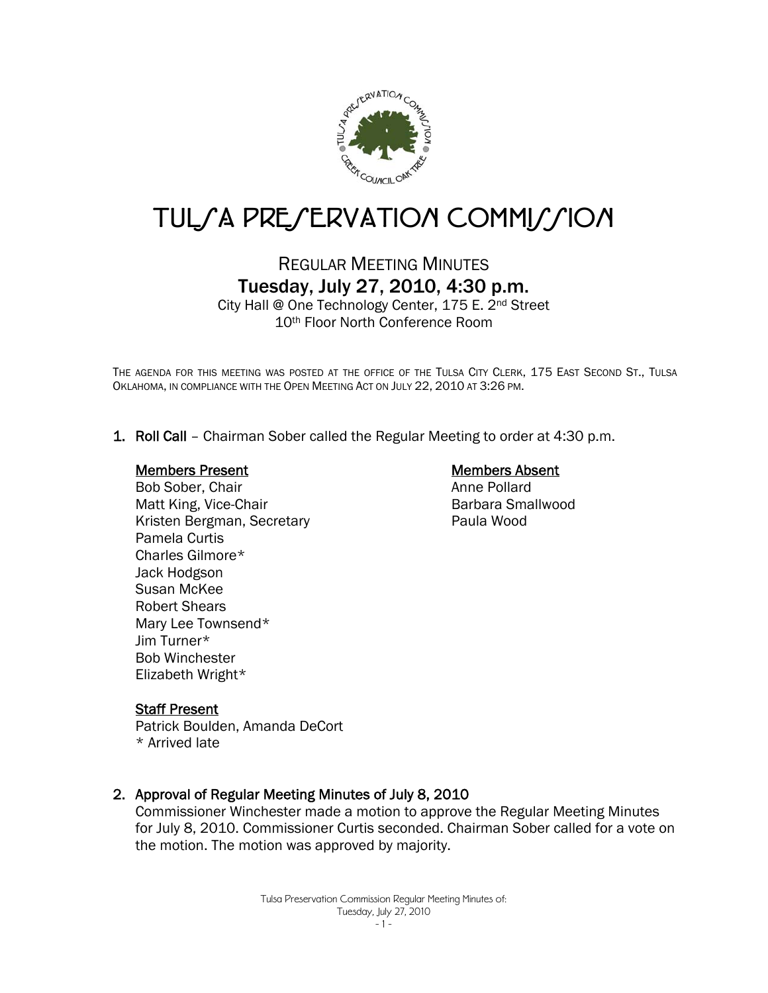

# TUL/A PRE/ERVATION COMMI//ION

## REGULAR MEETING MINUTES Tuesday, July 27, 2010, 4:30 p.m.

City Hall @ One Technology Center, 175 E. 2nd Street 10th Floor North Conference Room

THE AGENDA FOR THIS MEETING WAS POSTED AT THE OFFICE OF THE TULSA CITY CLERK, 175 EAST SECOND ST., TULSA OKLAHOMA, IN COMPLIANCE WITH THE OPEN MEETING ACT ON JULY 22, 2010 AT 3:26 PM.

1. Roll Call – Chairman Sober called the Regular Meeting to order at 4:30 p.m.

#### Members Present

Bob Sober, Chair Matt King, Vice-Chair Kristen Bergman, Secretary Pamela Curtis Charles Gilmore\* Jack Hodgson Susan McKee Robert Shears Mary Lee Townsend\* Jim Turner\* Bob Winchester Elizabeth Wright\*

## Members Absent

Anne Pollard Barbara Smallwood Paula Wood

## Staff Present

Patrick Boulden, Amanda DeCort \* Arrived late

## 2. Approval of Regular Meeting Minutes of July 8, 2010

Commissioner Winchester made a motion to approve the Regular Meeting Minutes for July 8, 2010. Commissioner Curtis seconded. Chairman Sober called for a vote on the motion. The motion was approved by majority.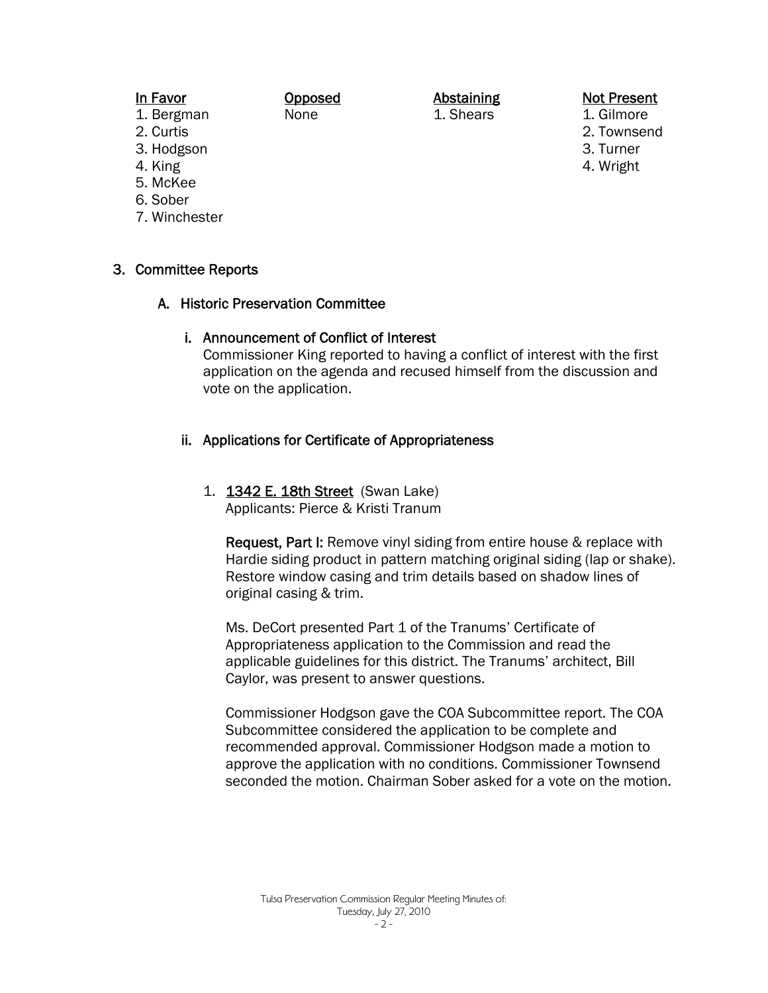## In Favor

Opposed None

## Abstaining

1. Shears

#### Not Present 1. Gilmore

- 2. Townsend
- 3. Turner
- 4. Wright

2. Curtis 3. Hodgson

1. Bergman

- 4. King
- 5. McKee
- 6. Sober
- 7. Winchester

## 3. Committee Reports

## A. Historic Preservation Committee

## i. Announcement of Conflict of Interest

Commissioner King reported to having a conflict of interest with the first application on the agenda and recused himself from the discussion and vote on the application.

## ii. Applications for Certificate of Appropriateness

1. **1342 E. 18th Street** (Swan Lake) Applicants: Pierce & Kristi Tranum

Request, Part I: Remove vinyl siding from entire house & replace with Hardie siding product in pattern matching original siding (lap or shake). Restore window casing and trim details based on shadow lines of original casing & trim.

Ms. DeCort presented Part 1 of the Tranums' Certificate of Appropriateness application to the Commission and read the applicable guidelines for this district. The Tranums' architect, Bill Caylor, was present to answer questions.

Commissioner Hodgson gave the COA Subcommittee report. The COA Subcommittee considered the application to be complete and recommended approval. Commissioner Hodgson made a motion to approve the application with no conditions. Commissioner Townsend seconded the motion. Chairman Sober asked for a vote on the motion.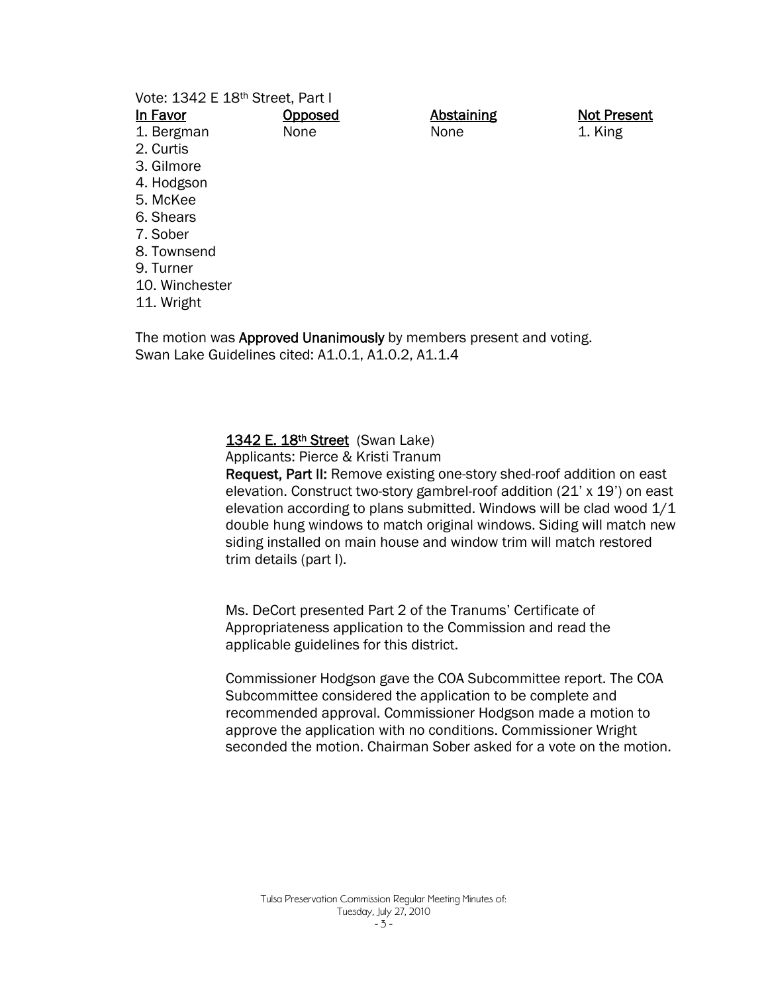|  |  | Vote: 1342 E 18th Street, Part I |  |
|--|--|----------------------------------|--|
|  |  |                                  |  |

| In Favor       | Opposed | <b>Abstaining</b> |
|----------------|---------|-------------------|
| 1. Bergman     | None    | None              |
| 2. Curtis      |         |                   |
| 3. Gilmore     |         |                   |
| 4. Hodgson     |         |                   |
| 5. McKee       |         |                   |
| 6. Shears      |         |                   |
| 7. Sober       |         |                   |
| 8. Townsend    |         |                   |
| 9. Turner      |         |                   |
| 10. Winchester |         |                   |
|                |         |                   |

11. Wright

The motion was Approved Unanimously by members present and voting. Swan Lake Guidelines cited: A1.0.1, A1.0.2, A1.1.4

#### 1342 E. 18th Street (Swan Lake)

Applicants: Pierce & Kristi Tranum

Request, Part II: Remove existing one-story shed-roof addition on east elevation. Construct two-story gambrel-roof addition (21' x 19') on east elevation according to plans submitted. Windows will be clad wood  $1/1$ double hung windows to match original windows. Siding will match new siding installed on main house and window trim will match restored trim details (part I).

Not Present 1. King

Ms. DeCort presented Part 2 of the Tranums' Certificate of Appropriateness application to the Commission and read the applicable guidelines for this district.

Commissioner Hodgson gave the COA Subcommittee report. The COA Subcommittee considered the application to be complete and recommended approval. Commissioner Hodgson made a motion to approve the application with no conditions. Commissioner Wright seconded the motion. Chairman Sober asked for a vote on the motion.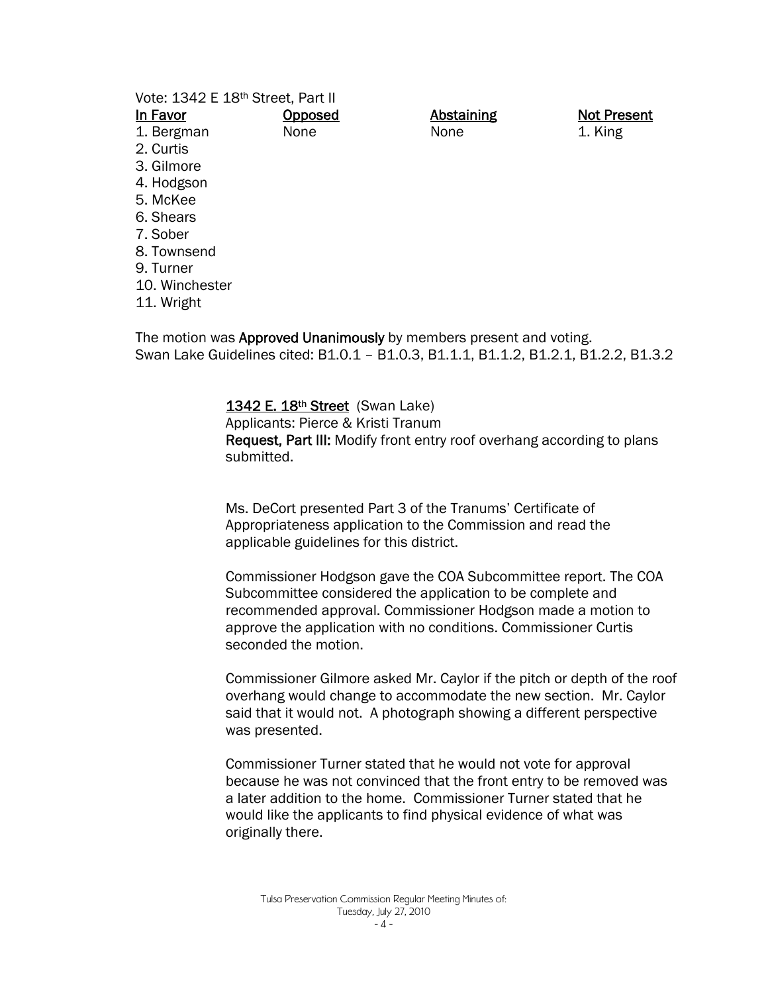| Vote: 1342 E 18th Street, Part II                                         |         |                   |                    |  |  |
|---------------------------------------------------------------------------|---------|-------------------|--------------------|--|--|
| In Favor                                                                  | Opposed | <b>Abstaining</b> | <b>Not Present</b> |  |  |
| 1. Bergman                                                                | None    | None              | 1. King            |  |  |
| 2. Curtis                                                                 |         |                   |                    |  |  |
| 3. Gilmore                                                                |         |                   |                    |  |  |
| 4. Hodgson                                                                |         |                   |                    |  |  |
| 5. McKee                                                                  |         |                   |                    |  |  |
| 6. Shears                                                                 |         |                   |                    |  |  |
| 7. Sober                                                                  |         |                   |                    |  |  |
| 8. Townsend                                                               |         |                   |                    |  |  |
| 9. Turner                                                                 |         |                   |                    |  |  |
| 10. Winchester                                                            |         |                   |                    |  |  |
| 11. Wright                                                                |         |                   |                    |  |  |
| The motion was <b>Approved Unanimously</b> by members present and voting. |         |                   |                    |  |  |

The motion was Approved Unanimously by members present and voting. Swan Lake Guidelines cited: B1.0.1 – B1.0.3, B1.1.1, B1.1.2, B1.2.1, B1.2.2, B1.3.2

#### 1342 E. 18<sup>th</sup> Street (Swan Lake)

Applicants: Pierce & Kristi Tranum Request, Part III: Modify front entry roof overhang according to plans submitted.

Ms. DeCort presented Part 3 of the Tranums' Certificate of Appropriateness application to the Commission and read the applicable guidelines for this district.

Commissioner Hodgson gave the COA Subcommittee report. The COA Subcommittee considered the application to be complete and recommended approval. Commissioner Hodgson made a motion to approve the application with no conditions. Commissioner Curtis seconded the motion.

Commissioner Gilmore asked Mr. Caylor if the pitch or depth of the roof overhang would change to accommodate the new section. Mr. Caylor said that it would not. A photograph showing a different perspective was presented.

Commissioner Turner stated that he would not vote for approval because he was not convinced that the front entry to be removed was a later addition to the home. Commissioner Turner stated that he would like the applicants to find physical evidence of what was originally there.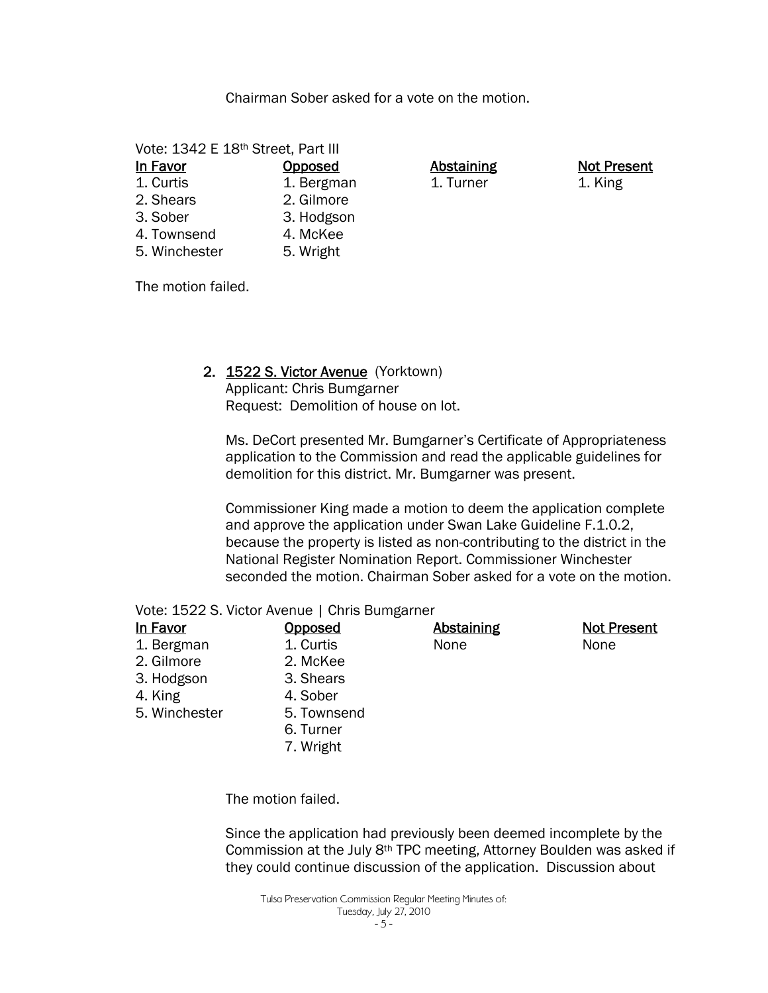Chairman Sober asked for a vote on the motion.

Vote: 1342 E 18th Street, Part III

| In Favor      | Opposed    |
|---------------|------------|
| 1. Curtis     | 1. Bergman |
| 2. Shears     | 2. Gilmore |
| 3. Sober      | 3. Hodgson |
| 4. Townsend   | 4. McKee   |
| 5. Winchester | 5. Wright  |

Abstaining 1. Turner

Not Present 1. King

The motion failed.

## 2. 1522 S. Victor Avenue (Yorktown)

Applicant: Chris Bumgarner Request: Demolition of house on lot.

Ms. DeCort presented Mr. Bumgarner's Certificate of Appropriateness application to the Commission and read the applicable guidelines for demolition for this district. Mr. Bumgarner was present.

Commissioner King made a motion to deem the application complete and approve the application under Swan Lake Guideline F.1.0.2, because the property is listed as non-contributing to the district in the National Register Nomination Report. Commissioner Winchester seconded the motion. Chairman Sober asked for a vote on the motion.

| Vote: 1522 S. Victor Avenue   Chris Bumgarner |  |
|-----------------------------------------------|--|
|-----------------------------------------------|--|

| In Favor      | <b>Opposed</b> | <b>Abstaining</b> | <b>Not Present</b> |
|---------------|----------------|-------------------|--------------------|
| 1. Bergman    | 1. Curtis      | None              | None               |
| 2. Gilmore    | 2. McKee       |                   |                    |
| 3. Hodgson    | 3. Shears      |                   |                    |
| 4. King       | 4. Sober       |                   |                    |
| 5. Winchester | 5. Townsend    |                   |                    |
|               | 6. Turner      |                   |                    |
|               | 7. Wright      |                   |                    |

The motion failed.

Since the application had previously been deemed incomplete by the Commission at the July 8th TPC meeting, Attorney Boulden was asked if they could continue discussion of the application. Discussion about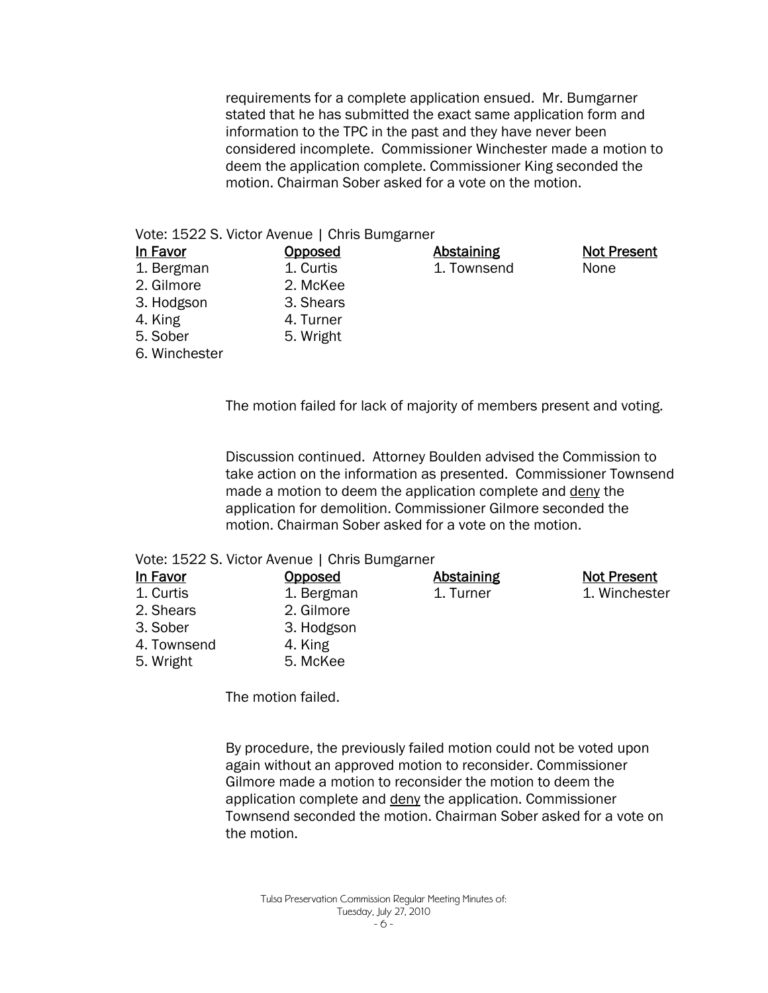requirements for a complete application ensued. Mr. Bumgarner stated that he has submitted the exact same application form and information to the TPC in the past and they have never been considered incomplete. Commissioner Winchester made a motion to deem the application complete. Commissioner King seconded the motion. Chairman Sober asked for a vote on the motion.

#### Vote: 1522 S. Victor Avenue | Chris Bumgarner

| <u>In Favor</u> | <b>Opposed</b> | <b>Abstaining</b> | <b>Not Present</b> |
|-----------------|----------------|-------------------|--------------------|
| 1. Bergman      | 1. Curtis      | 1. Townsend       | None               |
| 2. Gilmore      | 2. McKee       |                   |                    |
| 3. Hodgson      | 3. Shears      |                   |                    |
| 4. King         | 4. Turner      |                   |                    |
| 5. Sober        | 5. Wright      |                   |                    |
| 6. Winchester   |                |                   |                    |

The motion failed for lack of majority of members present and voting.

Discussion continued. Attorney Boulden advised the Commission to take action on the information as presented. Commissioner Townsend made a motion to deem the application complete and deny the application for demolition. Commissioner Gilmore seconded the motion. Chairman Sober asked for a vote on the motion.

## Vote: 1522 S. Victor Avenue | Chris Bumgarner

| In Favor    | <b>Opposed</b> | <b>Abstaining</b> | <b>Not Present</b> |
|-------------|----------------|-------------------|--------------------|
| 1. Curtis   | 1. Bergman     | 1. Turner         | 1. Winchester      |
| 2. Shears   | 2. Gilmore     |                   |                    |
| 3. Sober    | 3. Hodgson     |                   |                    |
| 4. Townsend | 4. King        |                   |                    |
| 5. Wright   | 5. McKee       |                   |                    |

The motion failed.

By procedure, the previously failed motion could not be voted upon again without an approved motion to reconsider. Commissioner Gilmore made a motion to reconsider the motion to deem the application complete and deny the application. Commissioner Townsend seconded the motion. Chairman Sober asked for a vote on the motion.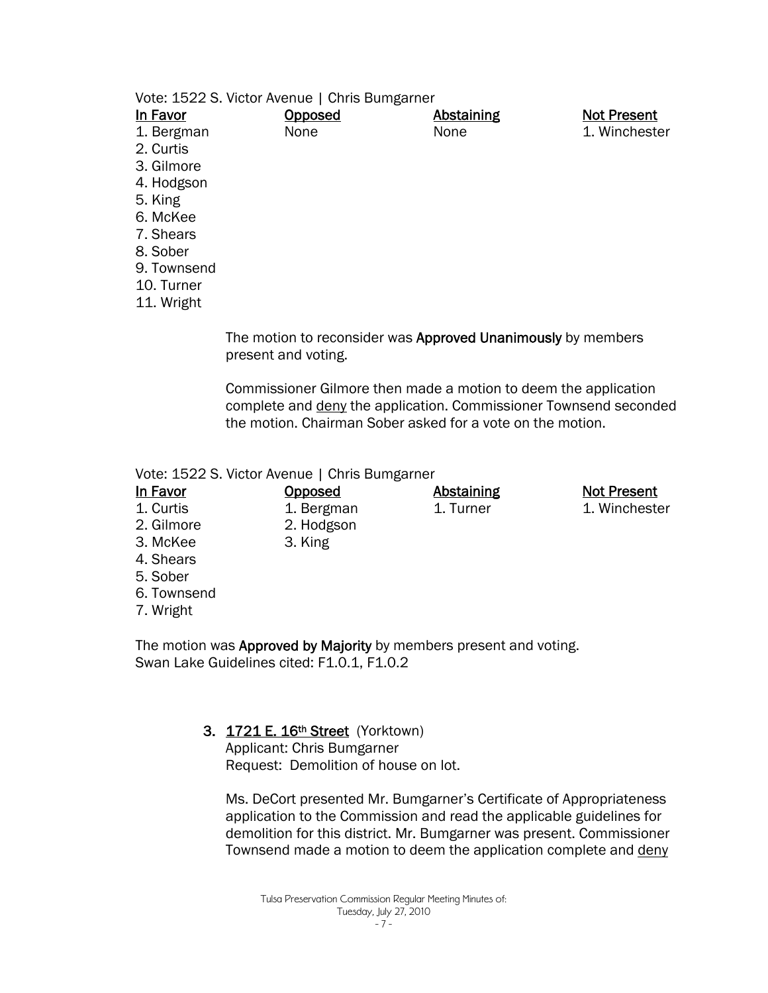| Vote: 1522 S. Victor Avenue   Chris Bumgarner |  |
|-----------------------------------------------|--|
|-----------------------------------------------|--|

| <u>In Favor</u> | <b>Opposed</b> | <b>Abstaining</b> | <b>Not Present</b> |
|-----------------|----------------|-------------------|--------------------|
| 1. Bergman      | None           | None              | 1. Winchester      |
| 2. Curtis       |                |                   |                    |
| 3. Gilmore      |                |                   |                    |
| 4. Hodgson      |                |                   |                    |
| 5. King         |                |                   |                    |
| 6. McKee        |                |                   |                    |
| 7. Shears       |                |                   |                    |
| 8. Sober        |                |                   |                    |
| 9. Townsend     |                |                   |                    |

- 10. Turner
- 11. Wright

The motion to reconsider was Approved Unanimously by members present and voting.

Commissioner Gilmore then made a motion to deem the application complete and deny the application. Commissioner Townsend seconded the motion. Chairman Sober asked for a vote on the motion.

> Abstaining 1. Turner

Not Present 1. Winchester

Vote: 1522 S. Victor Avenue | Chris Bumgarner

**Opposed** 1. Bergman 2. Hodgson 3. King

- 1. Curtis
- 2. Gilmore
- 3. McKee
- 4. Shears
- 5. Sober
- 6. Townsend
- 7. Wright

The motion was Approved by Majority by members present and voting. Swan Lake Guidelines cited: F1.0.1, F1.0.2

## 3. 1721 E. 16th Street (Yorktown)

Applicant: Chris Bumgarner Request: Demolition of house on lot.

Ms. DeCort presented Mr. Bumgarner's Certificate of Appropriateness application to the Commission and read the applicable guidelines for demolition for this district. Mr. Bumgarner was present. Commissioner Townsend made a motion to deem the application complete and deny